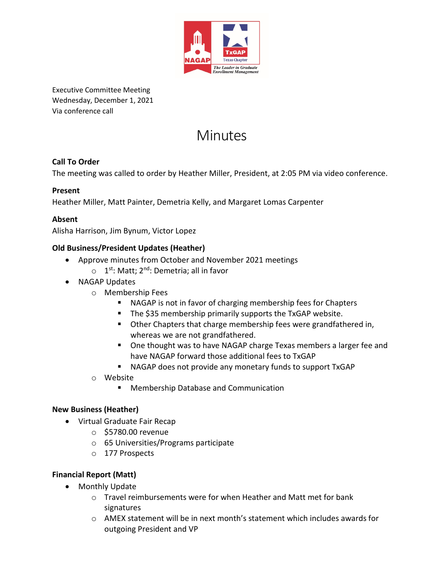

Executive Committee Meeting Wednesday, December 1, 2021 Via conference call

# Minutes

## **Call To Order**

The meeting was called to order by Heather Miller, President, at 2:05 PM via video conference.

#### **Present**

Heather Miller, Matt Painter, Demetria Kelly, and Margaret Lomas Carpenter

## **Absent**

Alisha Harrison, Jim Bynum, Victor Lopez

#### **Old Business/President Updates (Heather)**

- Approve minutes from October and November 2021 meetings
	- $\circ$  1<sup>st</sup>: Matt; 2<sup>nd</sup>: Demetria; all in favor
- NAGAP Updates
	- o Membership Fees
		- NAGAP is not in favor of charging membership fees for Chapters
		- The \$35 membership primarily supports the TxGAP website.
		- Other Chapters that charge membership fees were grandfathered in, whereas we are not grandfathered.
		- One thought was to have NAGAP charge Texas members a larger fee and have NAGAP forward those additional fees to TxGAP
		- NAGAP does not provide any monetary funds to support TxGAP
	- o Website
		- **Membership Database and Communication**

#### **New Business (Heather)**

- Virtual Graduate Fair Recap
	- o \$5780.00 revenue
	- o 65 Universities/Programs participate
	- o 177 Prospects

#### **Financial Report (Matt)**

- Monthly Update
	- o Travel reimbursements were for when Heather and Matt met for bank signatures
	- o AMEX statement will be in next month's statement which includes awards for outgoing President and VP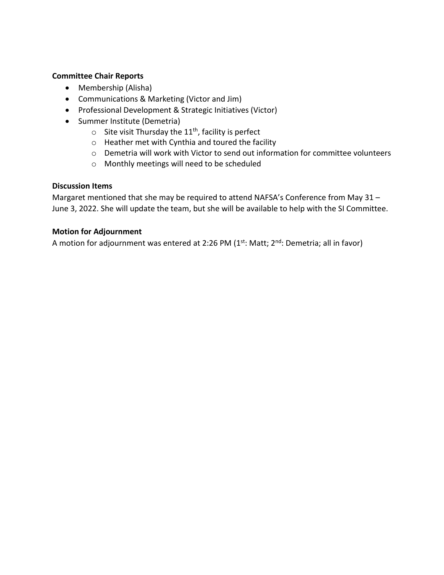#### **Committee Chair Reports**

- Membership (Alisha)
- Communications & Marketing (Victor and Jim)
- Professional Development & Strategic Initiatives (Victor)
- Summer Institute (Demetria)
	- $\circ$  Site visit Thursday the 11<sup>th</sup>, facility is perfect
	- o Heather met with Cynthia and toured the facility
	- o Demetria will work with Victor to send out information for committee volunteers
	- o Monthly meetings will need to be scheduled

#### **Discussion Items**

Margaret mentioned that she may be required to attend NAFSA's Conference from May 31 – June 3, 2022. She will update the team, but she will be available to help with the SI Committee.

#### **Motion for Adjournment**

A motion for adjournment was entered at 2:26 PM (1<sup>st</sup>: Matt; 2<sup>nd</sup>: Demetria; all in favor)